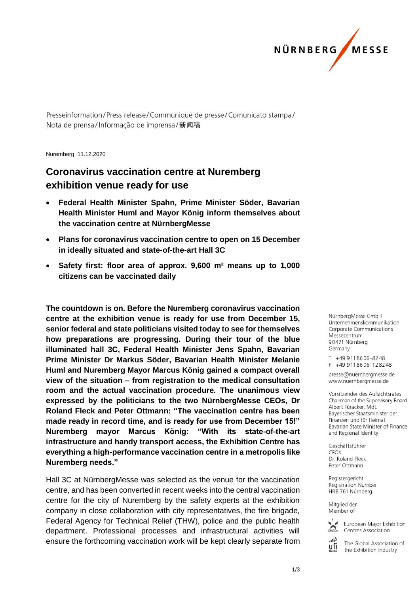

Presseinformation/Press release/Communiqué de presse/Comunicato stampa/ Nota de prensa/Informação de imprensa/新闻稿

Nuremberg, 11.12.2020

## **Coronavirus vaccination centre at Nuremberg exhibition venue ready for use**

- **Federal Health Minister Spahn, Prime Minister Söder, Bavarian Health Minister Huml and Mayor König inform themselves about the vaccination centre at NürnbergMesse**
- **Plans for coronavirus vaccination centre to open on 15 December in ideally situated and state-of-the-art Hall 3C**
- **Safety first: floor area of approx. 9,600 m² means up to 1,000 citizens can be vaccinated daily**

**The countdown is on. Before the Nuremberg coronavirus vaccination centre at the exhibition venue is ready for use from December 15, senior federal and state politicians visited today to see for themselves how preparations are progressing. During their tour of the blue illuminated hall 3C, Federal Health Minister Jens Spahn, Bavarian Prime Minister Dr Markus Söder, Bavarian Health Minister Melanie Huml and Nuremberg Mayor Marcus König gained a compact overall view of the situation – from registration to the medical consultation room and the actual vaccination procedure. The unanimous view expressed by the politicians to the two NürnbergMesse CEOs, Dr Roland Fleck and Peter Ottmann: "The vaccination centre has been made ready in record time, and is ready for use from December 15!" Nuremberg mayor Marcus König: "With its state-of-the-art infrastructure and handy transport access, the Exhibition Centre has everything a high-performance vaccination centre in a metropolis like Nuremberg needs."**

Hall 3C at NürnbergMesse was selected as the venue for the vaccination centre, and has been converted in recent weeks into the central vaccination centre for the city of Nuremberg by the safety experts at the exhibition company in close collaboration with city representatives, the fire brigade, Federal Agency for Technical Relief (THW), police and the public health department. Professional processes and infrastructural activities will ensure the forthcoming vaccination work will be kept clearly separate from

NürnbergMesse GmbH Unternehmenskommunikation Corporate Communications Messezentrum 90471 Nürnberg Germany

T +49 911 86 06 - 82 48  $F + 499118606 - 128248$ 

presse@nuernbergmesse.de www.nuernbergmesse.de

Vorsitzender des Aufsichtsrates Chairman of the Supervisory Board Albert Füracker, MdL Bayerischer Staatsminister der Finanzen und für Heimat Bavarian State Minister of Finance and Regional Identity

Geschäftsführer  $CFOs$ Dr. Roland Fleck Peter Ottmann

Registergericht Registration Number HRB 761 Nürnberg

Mitglied der Member of



European Major Exhibition Centres Association

The Global Association of ufi the Exhibition Industry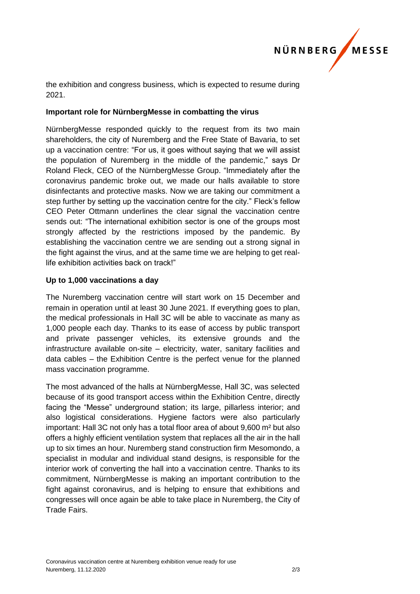

the exhibition and congress business, which is expected to resume during 2021.

## **Important role for NürnbergMesse in combatting the virus**

NürnbergMesse responded quickly to the request from its two main shareholders, the city of Nuremberg and the Free State of Bavaria, to set up a vaccination centre: "For us, it goes without saying that we will assist the population of Nuremberg in the middle of the pandemic," says Dr Roland Fleck, CEO of the NürnbergMesse Group. "Immediately after the coronavirus pandemic broke out, we made our halls available to store disinfectants and protective masks. Now we are taking our commitment a step further by setting up the vaccination centre for the city." Fleck's fellow CEO Peter Ottmann underlines the clear signal the vaccination centre sends out: "The international exhibition sector is one of the groups most strongly affected by the restrictions imposed by the pandemic. By establishing the vaccination centre we are sending out a strong signal in the fight against the virus, and at the same time we are helping to get reallife exhibition activities back on track!"

## **Up to 1,000 vaccinations a day**

The Nuremberg vaccination centre will start work on 15 December and remain in operation until at least 30 June 2021. If everything goes to plan, the medical professionals in Hall 3C will be able to vaccinate as many as 1,000 people each day. Thanks to its ease of access by public transport and private passenger vehicles, its extensive grounds and the infrastructure available on-site – electricity, water, sanitary facilities and data cables – the Exhibition Centre is the perfect venue for the planned mass vaccination programme.

The most advanced of the halls at NürnbergMesse, Hall 3C, was selected because of its good transport access within the Exhibition Centre, directly facing the "Messe" underground station; its large, pillarless interior; and also logistical considerations. Hygiene factors were also particularly important: Hall 3C not only has a total floor area of about 9,600 m² but also offers a highly efficient ventilation system that replaces all the air in the hall up to six times an hour. Nuremberg stand construction firm Mesomondo, a specialist in modular and individual stand designs, is responsible for the interior work of converting the hall into a vaccination centre. Thanks to its commitment, NürnbergMesse is making an important contribution to the fight against coronavirus, and is helping to ensure that exhibitions and congresses will once again be able to take place in Nuremberg, the City of Trade Fairs.